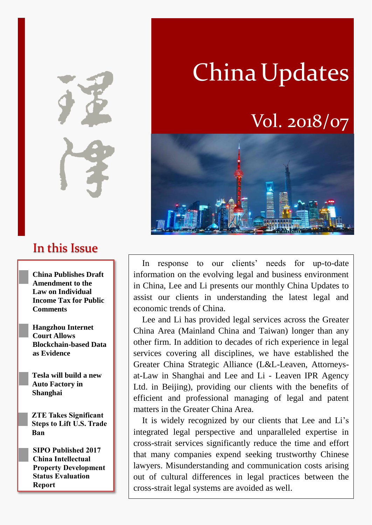In this Issue

**China Publishes Draft Amendment to the Law on Individual Income Tax for Public Comments**

**Hangzhou Internet Court Allows Blockchain-based Data as Evidence**

**Tesla will build a new Auto Factory in Shanghai**

**ZTE Takes Significant Steps to Lift U.S. Trade Ban**

**SIPO Published 2017 China Intellectual Property Development Status Evaluation Report**

# China Updates

# Vol. 2018/07



In response to our clients' needs for up-to-date information on the evolving legal and business environment in China, Lee and Li presents our monthly China Updates to assist our clients in understanding the latest legal and economic trends of China.

Lee and Li has provided legal services across the Greater China Area (Mainland China and Taiwan) longer than any other firm. In addition to decades of rich experience in legal services covering all disciplines, we have established the Greater China Strategic Alliance (L&L-Leaven, Attorneysat-Law in Shanghai and Lee and Li - Leaven IPR Agency Ltd. in Beijing), providing our clients with the benefits of efficient and professional managing of legal and patent matters in the Greater China Area.

It is widely recognized by our clients that Lee and Li's integrated legal perspective and unparalleled expertise in cross-strait services significantly reduce the time and effort that many companies expend seeking trustworthy Chinese lawyers. Misunderstanding and communication costs arising out of cultural differences in legal practices between the cross-strait legal systems are avoided as well.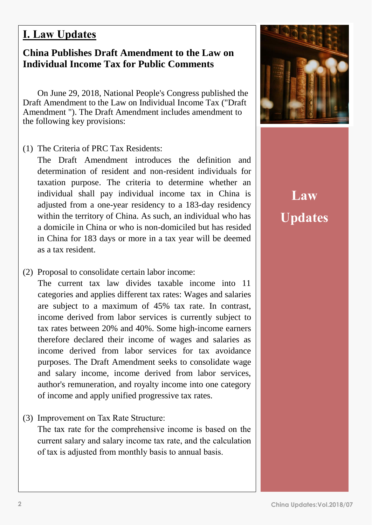#### **I. Law Updates**

#### **China Publishes Draft Amendment to the Law on Individual Income Tax for Public Comments**

On June 29, 2018, National People's Congress published the Draft Amendment to the Law on Individual Income Tax ("Draft Amendment "). The Draft Amendment includes amendment to the following key provisions:

(1) The Criteria of PRC Tax Residents:

The Draft Amendment introduces the definition and determination of resident and non-resident individuals for taxation purpose. The criteria to determine whether an individual shall pay individual income tax in China is adjusted from a one-year residency to a 183-day residency within the territory of China. As such, an individual who has a domicile in China or who is non-domiciled but has resided in China for 183 days or more in a tax year will be deemed as a tax resident.

(2) Proposal to consolidate certain labor income:

The current tax law divides taxable income into 11 categories and applies different tax rates: Wages and salaries are subject to a maximum of 45% tax rate. In contrast, income derived from labor services is currently subject to tax rates between 20% and 40%. Some high-income earners therefore declared their income of wages and salaries as income derived from labor services for tax avoidance purposes. The Draft Amendment seeks to consolidate wage and salary income, income derived from labor services, author's remuneration, and royalty income into one category of income and apply unified progressive tax rates.

(3) Improvement on Tax Rate Structure:

The tax rate for the comprehensive income is based on the current salary and salary income tax rate, and the calculation of tax is adjusted from monthly basis to annual basis.



# **Law Updates**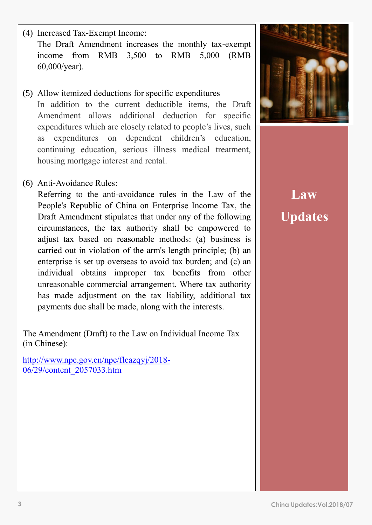(4) Increased Tax-Exempt Income: The Draft Amendment increases the monthly tax-exempt income from RMB 3,500 to RMB 5,000 (RMB 60,000/year).

- (5) Allow itemized deductions for specific expenditures In addition to the current deductible items, the Draft Amendment allows additional deduction for specific expenditures which are closely related to people's lives, such as expenditures on dependent children's education, continuing education, serious illness medical treatment, housing mortgage interest and rental.
- (6) Anti-Avoidance Rules:

Referring to the anti-avoidance rules in the Law of the People's Republic of China on Enterprise Income Tax, the Draft Amendment stipulates that under any of the following circumstances, the tax authority shall be empowered to adjust tax based on reasonable methods: (a) business is carried out in violation of the arm's length principle; (b) an enterprise is set up overseas to avoid tax burden; and (c) an individual obtains improper tax benefits from other unreasonable commercial arrangement. Where tax authority has made adjustment on the tax liability, additional tax payments due shall be made, along with the interests.

The Amendment (Draft) to the Law on Individual Income Tax (in Chinese):

[http://www.npc.gov.cn/npc/flcazqyj/2018-](http://www.npc.gov.cn/npc/flcazqyj/2018-06/29/content_2057033.htm) [06/29/content\\_2057033.htm](http://www.npc.gov.cn/npc/flcazqyj/2018-06/29/content_2057033.htm)



**Law Updates**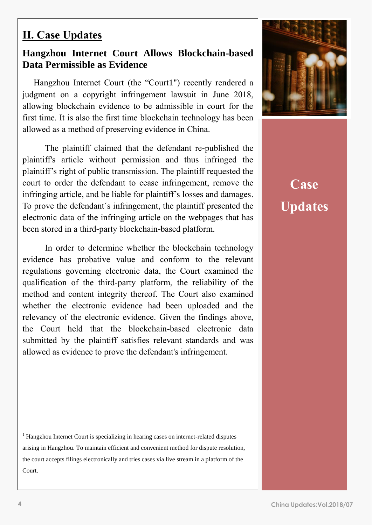#### **II. Case Updates**

#### **Hangzhou Internet Court Allows Blockchain-based Data Permissible as Evidence**

Hangzhou Internet Court (the "Court1") recently rendered a judgment on a copyright infringement lawsuit in June 2018, allowing blockchain evidence to be admissible in court for the first time. It is also the first time blockchain technology has been allowed as a method of preserving evidence in China.

The plaintiff claimed that the defendant re-published the plaintiff's article without permission and thus infringed the plaintiff's right of public transmission. The plaintiff requested the court to order the defendant to cease infringement, remove the infringing article, and be liable for plaintiff's losses and damages. To prove the defendant´s infringement, the plaintiff presented the electronic data of the infringing article on the webpages that has been stored in a third-party blockchain-based platform.

In order to determine whether the blockchain technology evidence has probative value and conform to the relevant regulations governing electronic data, the Court examined the qualification of the third-party platform, the reliability of the method and content integrity thereof. The Court also examined whether the electronic evidence had been uploaded and the relevancy of the electronic evidence. Given the findings above, the Court held that the blockchain-based electronic data submitted by the plaintiff satisfies relevant standards and was allowed as evidence to prove the defendant's infringement.

<sup>1</sup> Hangzhou Internet Court is specializing in hearing cases on internet-related disputes arising in Hangzhou. To maintain efficient and convenient method for dispute resolution, the court accepts filings electronically and tries cases via live stream in a platform of the Court.



**Case Updates**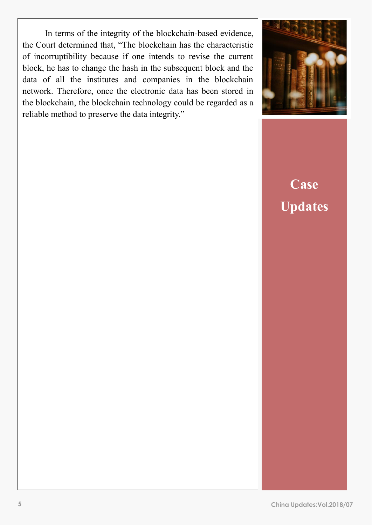of incorruptibility because if one intends to revise the current In terms of the integrity of the blockchain-based evidence, the Court determined that, "The blockchain has the characteristic block, he has to change the hash in the subsequent block and the data of all the institutes and companies in the blockchain network. Therefore, once the electronic data has been stored in the blockchain, the blockchain technology could be regarded as a reliable method to preserve the data integrity."



# **Case Updates**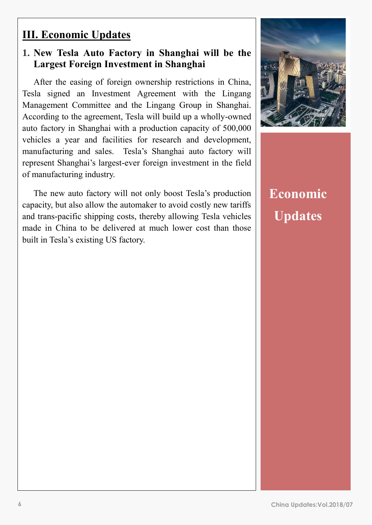#### **III. Economic Updates**

#### **1. New Tesla Auto Factory in Shanghai will be the Largest Foreign Investment in Shanghai**

After the easing of foreign ownership restrictions in China, Tesla signed an Investment Agreement with the Lingang Management Committee and the Lingang Group in Shanghai. According to the agreement, Tesla will build up a wholly-owned auto factory in Shanghai with a production capacity of 500,000 vehicles a year and facilities for research and development, manufacturing and sales. Tesla's Shanghai auto factory will represent Shanghai's largest-ever foreign investment in the field of manufacturing industry.

The new auto factory will not only boost Tesla's production capacity, but also allow the automaker to avoid costly new tariffs and trans-pacific shipping costs, thereby allowing Tesla vehicles made in China to be delivered at much lower cost than those built in Tesla's existing US factory.



### **Economic Updates**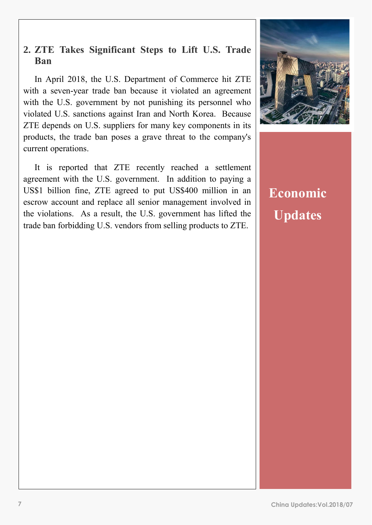#### **2. ZTE Takes Significant Steps to Lift U.S. Trade Ban**

In April 2018, the U.S. Department of Commerce hit ZTE with a seven-year trade ban because it violated an agreement with the U.S. government by not punishing its personnel who violated U.S. sanctions against Iran and North Korea. Because ZTE depends on U.S. suppliers for many key components in its products, the trade ban poses a grave threat to the company's current operations.

It is reported that ZTE recently reached a settlement agreement with the U.S. government. In addition to paying a US\$1 billion fine, ZTE agreed to put US\$400 million in an escrow account and replace all senior management involved in the violations. As a result, the U.S. government has lifted the trade ban forbidding U.S. vendors from selling products to ZTE.



## **Economic Updates**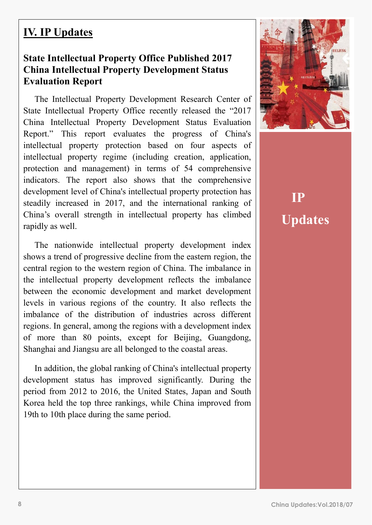#### **IV. IP Updates**

#### **State Intellectual Property Office Published 2017 China Intellectual Property Development Status Evaluation Report**

The Intellectual Property Development Research Center of State Intellectual Property Office recently released the "2017 China Intellectual Property Development Status Evaluation Report." This report evaluates the progress of China's intellectual property protection based on four aspects of intellectual property regime (including creation, application, protection and management) in terms of 54 comprehensive indicators. The report also shows that the comprehensive development level of China's intellectual property protection has steadily increased in 2017, and the international ranking of China's overall strength in intellectual property has climbed rapidly as well.

The nationwide intellectual property development index shows a trend of progressive decline from the eastern region, the central region to the western region of China. The imbalance in the intellectual property development reflects the imbalance between the economic development and market development levels in various regions of the country. It also reflects the imbalance of the distribution of industries across different regions. In general, among the regions with a development index of more than 80 points, except for Beijing, Guangdong, Shanghai and Jiangsu are all belonged to the coastal areas.

In addition, the global ranking of China's intellectual property development status has improved significantly. During the period from 2012 to 2016, the United States, Japan and South Korea held the top three rankings, while China improved from 19th to 10th place during the same period.



**IP Updates**